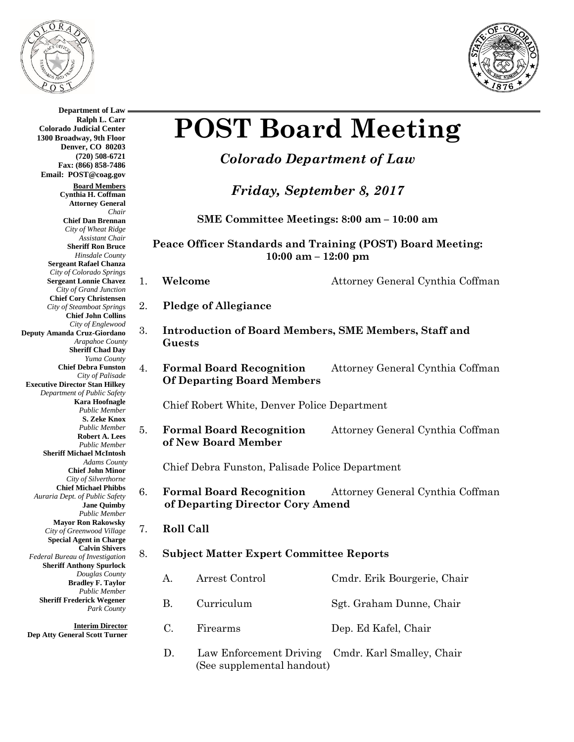

**Department of Law**



# **POST Board Meeting**

## *Colorado Department of Law*

*Friday, September 8, 2017*

**SME Committee Meetings: 8:00 am – 10:00 am**

**Peace Officer Standards and Training (POST) Board Meeting: 10:00 am – 12:00 pm**

- 
- 1. **Welcome Attorney General Cynthia Coffman**
- 2. **Pledge of Allegiance**
- 3. **Introduction of Board Members, SME Members, Staff and Guests**
- 4. **Formal Board Recognition** Attorney General Cynthia Coffman **Of Departing Board Members**

Chief Robert White, Denver Police Department

5. **Formal Board Recognition** Attorney General Cynthia Coffman **of New Board Member**

Chief Debra Funston, Palisade Police Department

6. **Formal Board Recognition** Attorney General Cynthia Coffman  **of Departing Director Cory Amend**

#### 7. **Roll Call**

### 8. **Subject Matter Expert Committee Reports**

- A. Arrest Control Cmdr. Erik Bourgerie, Chair B. Curriculum Sgt. Graham Dunne, Chair C. Firearms Dep. Ed Kafel, Chair
- D. Law Enforcement Driving Cmdr. Karl Smalley, Chair (See supplemental handout)

**Ralph L. Carr Colorado Judicial Center 1300 Broadway, 9th Floor Denver, CO 80203 (720) 508-6721 Fax: (866) 858-7486 Email: POST@coag.gov Board Members Cynthia H. Coffman Attorney General** *Chair* **Chief Dan Brennan** *City of Wheat Ridge Assistant Chair* **Sheriff Ron Bruce** *Hinsdale County* **Sergeant Rafael Chanza** *City of Colorado Springs* **Sergeant Lonnie Chavez** *City of Grand Junction* **Chief Cory Christensen** *City of Steamboat Springs* **Chief John Collins** *City of Englewood* **Deputy Amanda Cruz-Giordano** *Arapahoe County* **Sheriff Chad Day** *Yuma County* **Chief Debra Funston** *City of Palisade* **Executive Director Stan Hilkey** *Department of Public Safety* **Kara Hoofnagle** *Public Member* **S. Zeke Knox** *Public Member* **Robert A. Lees** *Public Member* **Sheriff Michael McIntosh** *Adams County* **Chief John Minor** *City of Silverthorne* **Chief Michael Phibbs** *Auraria Dept. of Public Safety* **Jane Quimby** *Public Member* **Mayor Ron Rakowsky** *City of Greenwood Village* **Special Agent in Charge Calvin Shivers** *Federal Bureau of Investigation* **Sheriff Anthony Spurlock** *Douglas County* **Bradley F. Taylor** *Public Member* **Sheriff Frederick Wegener** *Park County*

**Interim Director Dep Atty General Scott Turner**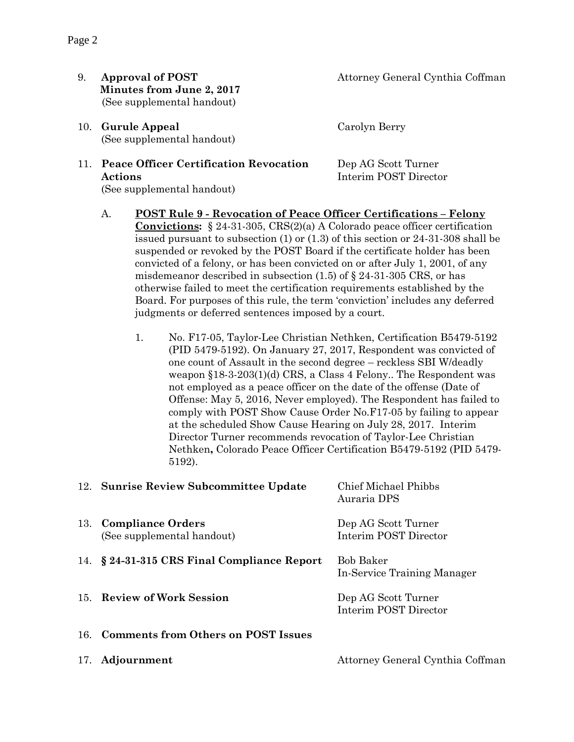- **Minutes from June 2, 2017** (See supplemental handout)
- 10. **Gurule Appeal** Carolyn Berry (See supplemental handout)

#### 11. **Peace Officer Certification Revocation** Dep AG Scott Turner **Actions** Interim POST Director (See supplemental handout)

9. **Approval of POST** Attorney General Cynthia Coffman

- A. **POST Rule 9 - Revocation of Peace Officer Certifications – Felony Convictions:** § 24-31-305, CRS(2)(a) A Colorado peace officer certification issued pursuant to subsection (1) or (1.3) of this section or 24-31-308 shall be suspended or revoked by the POST Board if the certificate holder has been convicted of a felony, or has been convicted on or after July 1, 2001, of any misdemeanor described in subsection  $(1.5)$  of  $\S$  24-31-305 CRS, or has otherwise failed to meet the certification requirements established by the Board. For purposes of this rule, the term 'conviction' includes any deferred judgments or deferred sentences imposed by a court.
	- 1. No. F17-05, Taylor-Lee Christian Nethken, Certification B5479-5192 (PID 5479-5192). On January 27, 2017, Respondent was convicted of one count of Assault in the second degree – reckless SBI W/deadly weapon §18-3-203(1)(d) CRS, a Class 4 Felony.. The Respondent was not employed as a peace officer on the date of the offense (Date of Offense: May 5, 2016, Never employed). The Respondent has failed to comply with POST Show Cause Order No.F17-05 by failing to appear at the scheduled Show Cause Hearing on July 28, 2017. Interim Director Turner recommends revocation of Taylor-Lee Christian Nethken**,** Colorado Peace Officer Certification B5479-5192 (PID 5479- 5192).

| 12. Sunrise Review Subcommittee Update              | Chief Michael Phibbs<br>Auraria DPS          |
|-----------------------------------------------------|----------------------------------------------|
| 13. Compliance Orders<br>(See supplemental handout) | Dep AG Scott Turner<br>Interim POST Director |
| 14. § 24-31-315 CRS Final Compliance Report         | Bob Baker<br>In-Service Training Manager     |
| 15. Review of Work Session                          | Dep AG Scott Turner<br>Interim POST Director |
| 16. Comments from Others on POST Issues             |                                              |
| 17. Adjournment                                     | Attorney General Cynthia Coffman             |